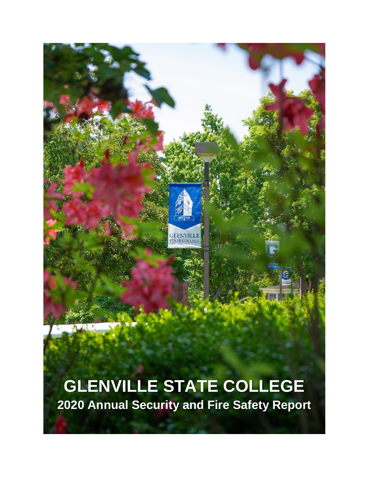

# **GLENVILLE STATE COLLEGE 2020 Annual Security and Fire Safety Report**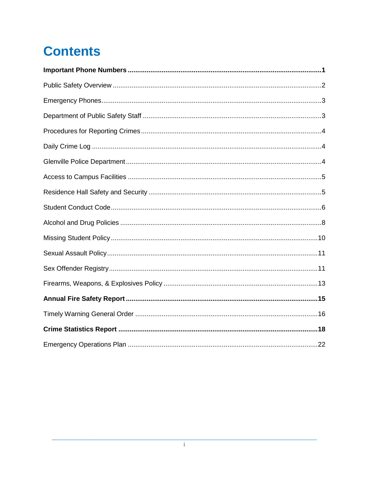# **Contents**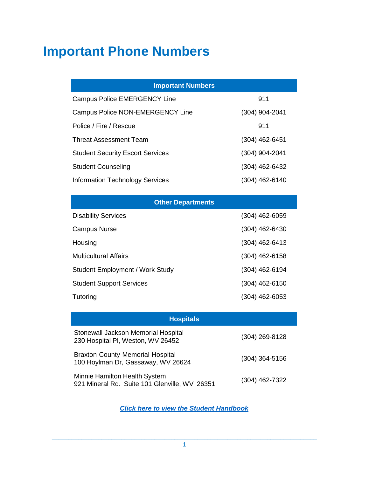## **Important Phone Numbers**

| <b>Important Numbers</b>                |                |  |  |
|-----------------------------------------|----------------|--|--|
| <b>Campus Police EMERGENCY Line</b>     | 911            |  |  |
| <b>Campus Police NON-EMERGENCY Line</b> | (304) 904-2041 |  |  |
| Police / Fire / Rescue                  | 911            |  |  |
| Threat Assessment Team                  | (304) 462-6451 |  |  |
| <b>Student Security Escort Services</b> | (304) 904-2041 |  |  |
| <b>Student Counseling</b>               | (304) 462-6432 |  |  |
| <b>Information Technology Services</b>  | (304) 462-6140 |  |  |
|                                         |                |  |  |
| <b>Other Departments</b>                |                |  |  |
| <b>Disability Services</b>              | (304) 462-6059 |  |  |
| <b>Campus Nurse</b>                     | (304) 462-6430 |  |  |

Housing (304) 462-6413

Multicultural Affairs (304) 462-6158

Student Employment / Work Study (304) 462-6194

Student Support Services (304) 462-6150

| Tutoring                                                                       | (304) 462-6053 |
|--------------------------------------------------------------------------------|----------------|
| <b>Hospitals</b>                                                               |                |
| Stonewall Jackson Memorial Hospital<br>230 Hospital PI, Weston, WV 26452       | (304) 269-8128 |
| <b>Braxton County Memorial Hospital</b><br>100 Hoylman Dr, Gassaway, WV 26624  | (304) 364-5156 |
| Minnie Hamilton Health System<br>921 Mineral Rd. Suite 101 Glenville, WV 26351 | (304) 462-7322 |

*[Click here to view the Student Handbook](https://www.glenville.edu/sites/default/files/2021-04/student-handbook.pdf)*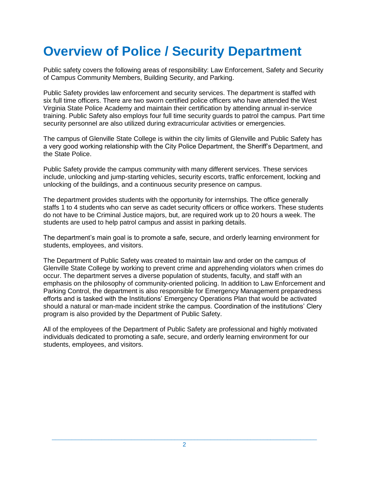## **Overview of Police / Security Department**

Public safety covers the following areas of responsibility: Law Enforcement, Safety and Security of Campus Community Members, Building Security, and Parking.

Public Safety provides law enforcement and security services. The department is staffed with six full time officers. There are two sworn certified police officers who have attended the West Virginia State Police Academy and maintain their certification by attending annual in-service training. Public Safety also employs four full time security guards to patrol the campus. Part time security personnel are also utilized during extracurricular activities or emergencies.

The campus of Glenville State College is within the city limits of Glenville and Public Safety has a very good working relationship with the City Police Department, the Sheriff's Department, and the State Police.

Public Safety provide the campus community with many different services. These services include, unlocking and jump-starting vehicles, security escorts, traffic enforcement, locking and unlocking of the buildings, and a continuous security presence on campus.

The department provides students with the opportunity for internships. The office generally staffs 1 to 4 students who can serve as cadet security officers or office workers. These students do not have to be Criminal Justice majors, but, are required work up to 20 hours a week. The students are used to help patrol campus and assist in parking details.

The department's main goal is to promote a safe, secure, and orderly learning environment for students, employees, and visitors.

The Department of Public Safety was created to maintain law and order on the campus of Glenville State College by working to prevent crime and apprehending violators when crimes do occur. The department serves a diverse population of students, faculty, and staff with an emphasis on the philosophy of community-oriented policing. In addition to Law Enforcement and Parking Control, the department is also responsible for Emergency Management preparedness efforts and is tasked with the Institutions' Emergency Operations Plan that would be activated should a natural or man-made incident strike the campus. Coordination of the institutions' Clery program is also provided by the Department of Public Safety.

All of the employees of the Department of Public Safety are professional and highly motivated individuals dedicated to promoting a safe, secure, and orderly learning environment for our students, employees, and visitors.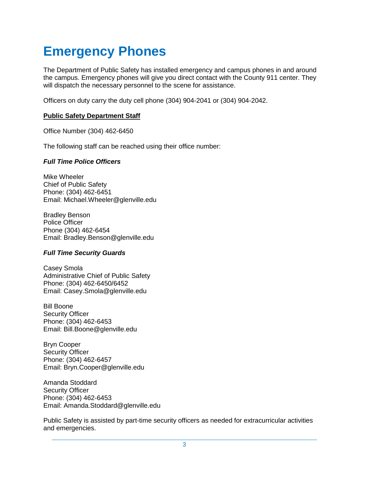## **Emergency Phones**

The Department of Public Safety has installed emergency and campus phones in and around the campus. Emergency phones will give you direct contact with the County 911 center. They will dispatch the necessary personnel to the scene for assistance.

Officers on duty carry the duty cell phone (304) 904-2041 or (304) 904-2042.

#### **Public Safety Department Staff**

Office Number (304) 462-6450

The following staff can be reached using their office number:

#### *Full Time Police Officers*

Mike Wheeler Chief of Public Safety Phone: (304) 462-6451 Email: Michael.Wheeler@glenville.edu

Bradley Benson Police Officer Phone (304) 462-6454 Email: Bradley.Benson@glenville.edu

### *Full Time Security Guards*

Casey Smola Administrative Chief of Public Safety Phone: (304) 462-6450/6452 Email: Casey.Smola@glenville.edu

Bill Boone Security Officer Phone: (304) 462-6453 Email: Bill.Boone@glenville.edu

Bryn Cooper Security Officer Phone: (304) 462-6457 Email: Bryn.Cooper@glenville.edu

Amanda Stoddard Security Officer Phone: (304) 462-6453 Email: Amanda.Stoddard@glenville.edu

Public Safety is assisted by part-time security officers as needed for extracurricular activities and emergencies.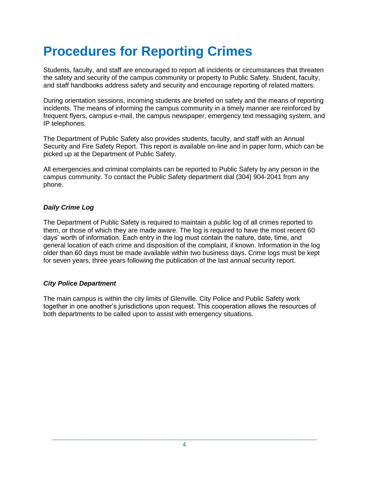# **Procedures for Reporting Crimes**

Students, faculty, and staff are encouraged to report all incidents or circumstances that threaten the safety and security of the campus community or property to Public Safety. Student, faculty, and staff handbooks address safety and security and encourage reporting of related matters.

During orientation sessions, incoming students are briefed on safety and the means of reporting incidents. The means of informing the campus community in a timely manner are reinforced by frequent flyers, campus e-mail, the campus newspaper, emergency text messaging system, and IP telephones.

The Department of Public Safety also provides students, faculty, and staff with an Annual Security and Fire Safety Report. This report is available on-line and in paper form, which can be picked up at the Department of Public Safety.

All emergencies and criminal complaints can be reported to Public Safety by any person in the campus community. To contact the Public Safety department dial (304) 904-2041 from any phone.

### *Daily Crime Log*

The Department of Public Safety is required to maintain a public log of all crimes reported to them, or those of which they are made aware. The log is required to have the most recent 60 days' worth of information. Each entry in the log must contain the nature, date, time, and general location of each crime and disposition of the complaint, if known. Information in the log older than 60 days must be made available within two business days. Crime logs must be kept for seven years, three years following the publication of the last annual security report.

### *City Police Department*

The main campus is within the city limits of Glenville. City Police and Public Safety work together in one another's jurisdictions upon request. This cooperation allows the resources of both departments to be called upon to assist with emergency situations.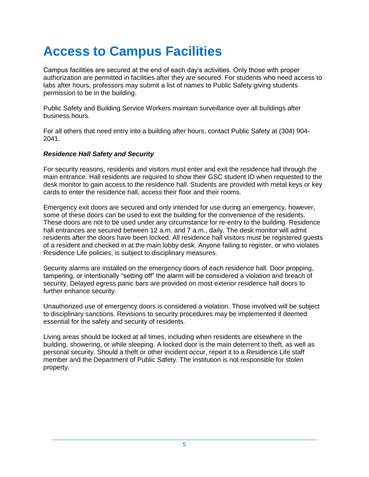# **Access to Campus Facilities**

Campus facilities are secured at the end of each day's activities. Only those with proper authorization are permitted in facilities after they are secured. For students who need access to labs after hours, professors may submit a list of names to Public Safety giving students permission to be in the building.

Public Safety and Building Service Workers maintain surveillance over all buildings after business hours.

For all others that need entry into a building after hours, contact Public Safety at (304) 904- 2041.

### *Residence Hall Safety and Security*

For security reasons, residents and visitors must enter and exit the residence hall through the main entrance. Hall residents are required to show their GSC student ID when requested to the desk monitor to gain access to the residence hall. Students are provided with metal keys or key cards to enter the residence hall, access their floor and their rooms.

Emergency exit doors are secured and only intended for use during an emergency, however, some of these doors can be used to exit the building for the convenience of the residents. These doors are not to be used under any circumstance for re-entry to the building. Residence hall entrances are secured between 12 a.m. and 7 a.m., daily. The desk monitor will admit residents after the doors have been locked. All residence hall visitors must be registered guests of a resident and checked in at the main lobby desk. Anyone failing to register, or who violates Residence Life policies, is subject to disciplinary measures.

Security alarms are installed on the emergency doors of each residence hall. Door propping, tampering, or intentionally "setting off" the alarm will be considered a violation and breach of security. Delayed egress panic bars are provided on most exterior residence hall doors to further enhance security.

Unauthorized use of emergency doors is considered a violation. Those involved will be subject to disciplinary sanctions. Revisions to security procedures may be implemented if deemed essential for the safety and security of residents.

Living areas should be locked at all times, including when residents are elsewhere in the building, showering, or while sleeping. A locked door is the main deterrent to theft, as well as personal security. Should a theft or other incident occur, report it to a Residence Life staff member and the Department of Public Safety. The institution is not responsible for stolen property.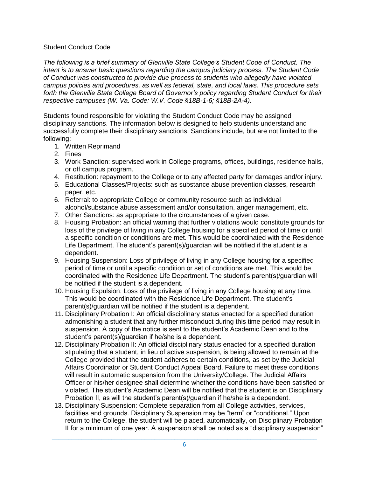#### Student Conduct Code

*The following is a brief summary of Glenville State College's Student Code of Conduct. The intent is to answer basic questions regarding the campus judiciary process. The Student Code of Conduct was constructed to provide due process to students who allegedly have violated campus policies and procedures, as well as federal, state, and local laws. This procedure sets forth the Glenville State College Board of Governor's policy regarding Student Conduct for their respective campuses (W. Va. Code: W.V. Code §18B-1-6; §18B-2A-4).*

Students found responsible for violating the Student Conduct Code may be assigned disciplinary sanctions. The information below is designed to help students understand and successfully complete their disciplinary sanctions. Sanctions include, but are not limited to the following:

- 1. Written Reprimand
- 2. Fines
- 3. Work Sanction: supervised work in College programs, offices, buildings, residence halls, or off campus program.
- 4. Restitution: repayment to the College or to any affected party for damages and/or injury.
- 5. Educational Classes/Projects: such as substance abuse prevention classes, research paper, etc.
- 6. Referral: to appropriate College or community resource such as individual alcohol/substance abuse assessment and/or consultation, anger management, etc.
- 7. Other Sanctions: as appropriate to the circumstances of a given case.
- 8. Housing Probation: an official warning that further violations would constitute grounds for loss of the privilege of living in any College housing for a specified period of time or until a specific condition or conditions are met. This would be coordinated with the Residence Life Department. The student's parent(s)/guardian will be notified if the student is a dependent.
- 9. Housing Suspension: Loss of privilege of living in any College housing for a specified period of time or until a specific condition or set of conditions are met. This would be coordinated with the Residence Life Department. The student's parent(s)/guardian will be notified if the student is a dependent.
- 10. Housing Expulsion: Loss of the privilege of living in any College housing at any time. This would be coordinated with the Residence Life Department. The student's parent(s)/guardian will be notified if the student is a dependent.
- 11. Disciplinary Probation I: An official disciplinary status enacted for a specified duration admonishing a student that any further misconduct during this time period may result in suspension. A copy of the notice is sent to the student's Academic Dean and to the student's parent(s)/guardian if he/she is a dependent.
- 12. Disciplinary Probation II: An official disciplinary status enacted for a specified duration stipulating that a student, in lieu of active suspension, is being allowed to remain at the College provided that the student adheres to certain conditions, as set by the Judicial Affairs Coordinator or Student Conduct Appeal Board. Failure to meet these conditions will result in automatic suspension from the University/College. The Judicial Affairs Officer or his/her designee shall determine whether the conditions have been satisfied or violated. The student's Academic Dean will be notified that the student is on Disciplinary Probation II, as will the student's parent(s)/guardian if he/she is a dependent.
- 13. Disciplinary Suspension: Complete separation from all College activities, services, facilities and grounds. Disciplinary Suspension may be "term" or "conditional." Upon return to the College, the student will be placed, automatically, on Disciplinary Probation II for a minimum of one year. A suspension shall be noted as a "disciplinary suspension"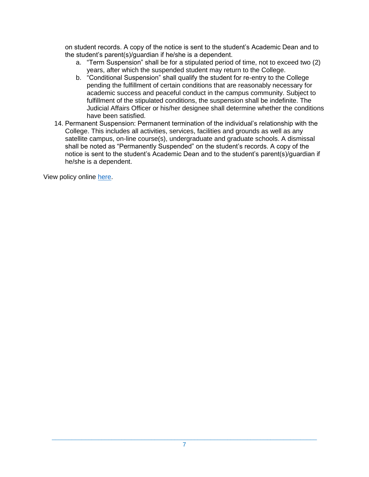on student records. A copy of the notice is sent to the student's Academic Dean and to the student's parent(s)/guardian if he/she is a dependent.

- a. "Term Suspension" shall be for a stipulated period of time, not to exceed two (2) years, after which the suspended student may return to the College.
- b. "Conditional Suspension" shall qualify the student for re-entry to the College pending the fulfillment of certain conditions that are reasonably necessary for academic success and peaceful conduct in the campus community. Subject to fulfillment of the stipulated conditions, the suspension shall be indefinite. The Judicial Affairs Officer or his/her designee shall determine whether the conditions have been satisfied.
- 14. Permanent Suspension: Permanent termination of the individual's relationship with the College. This includes all activities, services, facilities and grounds as well as any satellite campus, on-line course(s), undergraduate and graduate schools. A dismissal shall be noted as "Permanently Suspended" on the student's records. A copy of the notice is sent to the student's Academic Dean and to the student's parent(s)/guardian if he/she is a dependent.

View policy online [here.](https://www.glenville.edu/sites/default/files/2021-04/student-handbook.pdf)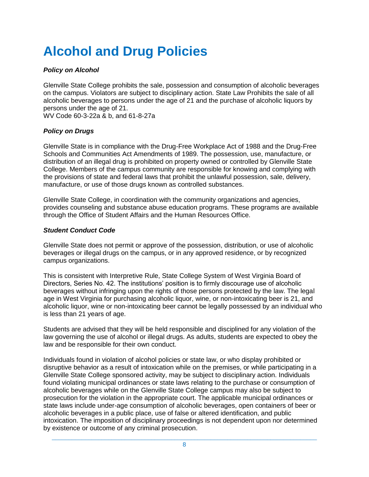# **Alcohol and Drug Policies**

### *Policy on Alcohol*

Glenville State College prohibits the sale, possession and consumption of alcoholic beverages on the campus. Violators are subject to disciplinary action. State Law Prohibits the sale of all alcoholic beverages to persons under the age of 21 and the purchase of alcoholic liquors by persons under the age of 21.

WV Code 60-3-22a & b, and 61-8-27a

## *Policy on Drugs*

Glenville State is in compliance with the Drug-Free Workplace Act of 1988 and the Drug-Free Schools and Communities Act Amendments of 1989. The possession, use, manufacture, or distribution of an illegal drug is prohibited on property owned or controlled by Glenville State College. Members of the campus community are responsible for knowing and complying with the provisions of state and federal laws that prohibit the unlawful possession, sale, delivery, manufacture, or use of those drugs known as controlled substances.

Glenville State College, in coordination with the community organizations and agencies, provides counseling and substance abuse education programs. These programs are available through the Office of Student Affairs and the Human Resources Office.

### *Student Conduct Code*

Glenville State does not permit or approve of the possession, distribution, or use of alcoholic beverages or illegal drugs on the campus, or in any approved residence, or by recognized campus organizations.

This is consistent with Interpretive Rule, State College System of West Virginia Board of Directors, Series No. 42. The institutions' position is to firmly discourage use of alcoholic beverages without infringing upon the rights of those persons protected by the law. The legal age in West Virginia for purchasing alcoholic liquor, wine, or non-intoxicating beer is 21, and alcoholic liquor, wine or non-intoxicating beer cannot be legally possessed by an individual who is less than 21 years of age.

Students are advised that they will be held responsible and disciplined for any violation of the law governing the use of alcohol or illegal drugs. As adults, students are expected to obey the law and be responsible for their own conduct.

Individuals found in violation of alcohol policies or state law, or who display prohibited or disruptive behavior as a result of intoxication while on the premises, or while participating in a Glenville State College sponsored activity, may be subject to disciplinary action. Individuals found violating municipal ordinances or state laws relating to the purchase or consumption of alcoholic beverages while on the Glenville State College campus may also be subject to prosecution for the violation in the appropriate court. The applicable municipal ordinances or state laws include under-age consumption of alcoholic beverages, open containers of beer or alcoholic beverages in a public place, use of false or altered identification, and public intoxication. The imposition of disciplinary proceedings is not dependent upon nor determined by existence or outcome of any criminal prosecution.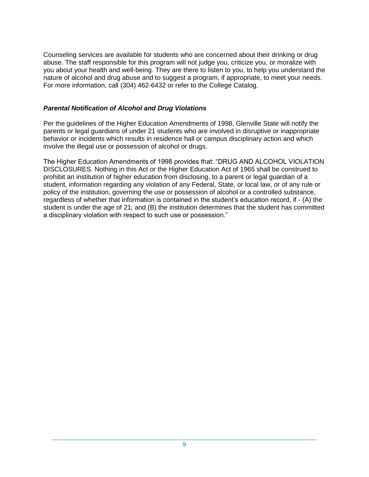Counseling services are available for students who are concerned about their drinking or drug abuse. The staff responsible for this program will not judge you, criticize you, or moralize with you about your health and well-being. They are there to listen to you, to help you understand the nature of alcohol and drug abuse and to suggest a program, if appropriate, to meet your needs. For more information, call (304) 462-6432 or refer to the College Catalog.

#### *Parental Notification of Alcohol and Drug Violations*

Per the guidelines of the Higher Education Amendments of 1998, Glenville State will notify the parents or legal guardians of under 21 students who are involved in disruptive or inappropriate behavior or incidents which results in residence hall or campus disciplinary action and which involve the illegal use or possession of alcohol or drugs.

The Higher Education Amendments of 1998 provides that: "DRUG AND ALCOHOL VIOLATION DISCLOSURES. Nothing in this Act or the Higher Education Act of 1965 shall be construed to prohibit an institution of higher education from disclosing, to a parent or legal guardian of a student, information regarding any violation of any Federal, State, or local law, or of any rule or policy of the institution, governing the use or possession of alcohol or a controlled substance, regardless of whether that information is contained in the student's education record, if - (A) the student is under the age of 21; and (B) the institution determines that the student has committed a disciplinary violation with respect to such use or possession."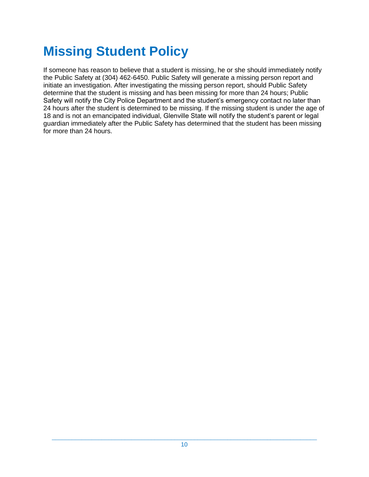# **Missing Student Policy**

If someone has reason to believe that a student is missing, he or she should immediately notify the Public Safety at (304) 462-6450. Public Safety will generate a missing person report and initiate an investigation. After investigating the missing person report, should Public Safety determine that the student is missing and has been missing for more than 24 hours; Public Safety will notify the City Police Department and the student's emergency contact no later than 24 hours after the student is determined to be missing. If the missing student is under the age of 18 and is not an emancipated individual, Glenville State will notify the student's parent or legal guardian immediately after the Public Safety has determined that the student has been missing for more than 24 hours.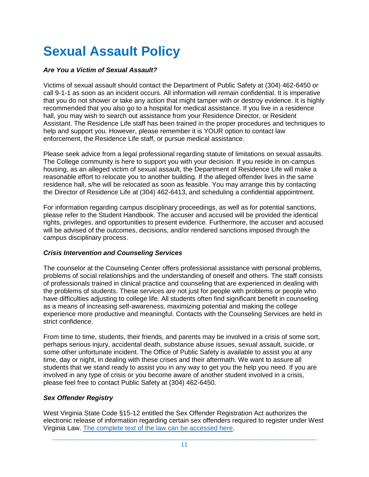# **Sexual Assault Policy**

### *Are You a Victim of Sexual Assault?*

Victims of sexual assault should contact the Department of Public Safety at (304) 462-6450 or call 9-1-1 as soon as an incident occurs. All information will remain confidential. It is imperative that you do not shower or take any action that might tamper with or destroy evidence. It is highly recommended that you also go to a hospital for medical assistance. If you live in a residence hall, you may wish to search out assistance from your Residence Director, or Resident Assistant. The Residence Life staff has been trained in the proper procedures and techniques to help and support you. However, please remember it is YOUR option to contact law enforcement, the Residence Life staff, or pursue medical assistance.

Please seek advice from a legal professional regarding statute of limitations on sexual assaults. The College community is here to support you with your decision. If you reside in on-campus housing, as an alleged victim of sexual assault, the Department of Residence Life will make a reasonable effort to relocate you to another building. If the alleged offender lives in the same residence hall, s/he will be relocated as soon as feasible. You may arrange this by contacting the Director of Residence Life at (304) 462-6413, and scheduling a confidential appointment.

For information regarding campus disciplinary proceedings, as well as for potential sanctions, please refer to the Student Handbook. The accuser and accused will be provided the identical rights, privileges, and opportunities to present evidence. Furthermore, the accuser and accused will be advised of the outcomes, decisions, and/or rendered sanctions imposed through the campus disciplinary process.

### *Crisis Intervention and Counseling Services*

The counselor at the Counseling Center offers professional assistance with personal problems, problems of social relationships and the understanding of oneself and others. The staff consists of professionals trained in clinical practice and counseling that are experienced in dealing with the problems of students. These services are not just for people with problems or people who have difficulties adjusting to college life. All students often find significant benefit in counseling as a means of increasing self-awareness, maximizing potential and making the college experience more productive and meaningful. Contacts with the Counseling Services are held in strict confidence.

From time to time, students, their friends, and parents may be involved in a crisis of some sort, perhaps serious injury, accidental death, substance abuse issues, sexual assault, suicide, or some other unfortunate incident. The Office of Public Safety is available to assist you at any time, day or night, in dealing with these crises and their aftermath. We want to assure all students that we stand ready to assist you in any way to get you the help you need. If you are involved in any type of crisis or you become aware of another student involved in a crisis, please feel free to contact Public Safety at (304) 462-6450.

### *Sex Offender Registry*

West Virginia State Code §15-12 entitled the Sex Offender Registration Act authorizes the electronic release of information regarding certain sex offenders required to register under West Virginia Law. [The complete text of the law can be accessed here.](http://www.legis.state.wv.us/WVCODE/code.cfm?chap=15&art=12#12)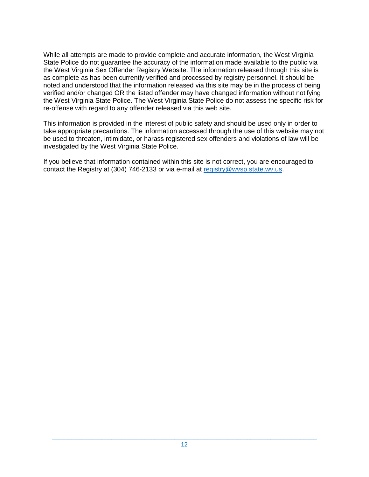While all attempts are made to provide complete and accurate information, the West Virginia State Police do not guarantee the accuracy of the information made available to the public via the West Virginia Sex Offender Registry Website. The information released through this site is as complete as has been currently verified and processed by registry personnel. It should be noted and understood that the information released via this site may be in the process of being verified and/or changed OR the listed offender may have changed information without notifying the West Virginia State Police. The West Virginia State Police do not assess the specific risk for re-offense with regard to any offender released via this web site.

This information is provided in the interest of public safety and should be used only in order to take appropriate precautions. The information accessed through the use of this website may not be used to threaten, intimidate, or harass registered sex offenders and violations of law will be investigated by the West Virginia State Police.

If you believe that information contained within this site is not correct, you are encouraged to contact the Registry at (304) 746-2133 or via e-mail at [registry@wvsp.state.wv.us.](mailto:registry@wvsp.state.wv.us)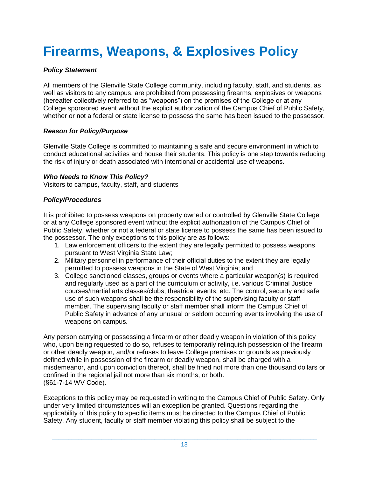# **Firearms, Weapons, & Explosives Policy**

## *Policy Statement*

All members of the Glenville State College community, including faculty, staff, and students, as well as visitors to any campus, are prohibited from possessing firearms, explosives or weapons (hereafter collectively referred to as "weapons") on the premises of the College or at any College sponsored event without the explicit authorization of the Campus Chief of Public Safety, whether or not a federal or state license to possess the same has been issued to the possessor.

### *Reason for Policy/Purpose*

Glenville State College is committed to maintaining a safe and secure environment in which to conduct educational activities and house their students. This policy is one step towards reducing the risk of injury or death associated with intentional or accidental use of weapons.

### *Who Needs to Know This Policy?*

Visitors to campus, faculty, staff, and students

### *Policy/Procedures*

It is prohibited to possess weapons on property owned or controlled by Glenville State College or at any College sponsored event without the explicit authorization of the Campus Chief of Public Safety, whether or not a federal or state license to possess the same has been issued to the possessor. The only exceptions to this policy are as follows:

- 1. Law enforcement officers to the extent they are legally permitted to possess weapons pursuant to West Virginia State Law;
- 2. Military personnel in performance of their official duties to the extent they are legally permitted to possess weapons in the State of West Virginia; and
- 3. College sanctioned classes, groups or events where a particular weapon(s) is required and regularly used as a part of the curriculum or activity, i.e. various Criminal Justice courses/martial arts classes/clubs; theatrical events, etc. The control, security and safe use of such weapons shall be the responsibility of the supervising faculty or staff member. The supervising faculty or staff member shall inform the Campus Chief of Public Safety in advance of any unusual or seldom occurring events involving the use of weapons on campus.

Any person carrying or possessing a firearm or other deadly weapon in violation of this policy who, upon being requested to do so, refuses to temporarily relinquish possession of the firearm or other deadly weapon, and/or refuses to leave College premises or grounds as previously defined while in possession of the firearm or deadly weapon, shall be charged with a misdemeanor, and upon conviction thereof, shall be fined not more than one thousand dollars or confined in the regional jail not more than six months, or both. (§61-7-14 WV Code).

Exceptions to this policy may be requested in writing to the Campus Chief of Public Safety. Only under very limited circumstances will an exception be granted. Questions regarding the applicability of this policy to specific items must be directed to the Campus Chief of Public Safety. Any student, faculty or staff member violating this policy shall be subject to the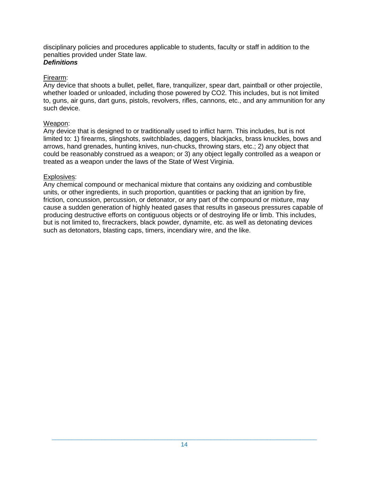disciplinary policies and procedures applicable to students, faculty or staff in addition to the penalties provided under State law.

## *Definitions*

### Firearm:

Any device that shoots a bullet, pellet, flare, tranquilizer, spear dart, paintball or other projectile, whether loaded or unloaded, including those powered by CO2. This includes, but is not limited to, guns, air guns, dart guns, pistols, revolvers, rifles, cannons, etc., and any ammunition for any such device.

### Weapon:

Any device that is designed to or traditionally used to inflict harm. This includes, but is not limited to: 1) firearms, slingshots, switchblades, daggers, blackjacks, brass knuckles, bows and arrows, hand grenades, hunting knives, nun-chucks, throwing stars, etc.; 2) any object that could be reasonably construed as a weapon; or 3) any object legally controlled as a weapon or treated as a weapon under the laws of the State of West Virginia.

### Explosives:

Any chemical compound or mechanical mixture that contains any oxidizing and combustible units, or other ingredients, in such proportion, quantities or packing that an ignition by fire, friction, concussion, percussion, or detonator, or any part of the compound or mixture, may cause a sudden generation of highly heated gases that results in gaseous pressures capable of producing destructive efforts on contiguous objects or of destroying life or limb. This includes, but is not limited to, firecrackers, black powder, dynamite, etc. as well as detonating devices such as detonators, blasting caps, timers, incendiary wire, and the like.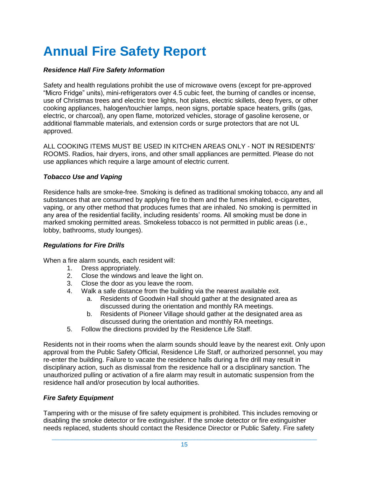# **Annual Fire Safety Report**

### *Residence Hall Fire Safety Information*

Safety and health regulations prohibit the use of microwave ovens (except for pre-approved "Micro Fridge" units), mini-refrigerators over 4.5 cubic feet, the burning of candles or incense, use of Christmas trees and electric tree lights, hot plates, electric skillets, deep fryers, or other cooking appliances, halogen/touchier lamps, neon signs, portable space heaters, grills (gas, electric, or charcoal), any open flame, motorized vehicles, storage of gasoline kerosene, or additional flammable materials, and extension cords or surge protectors that are not UL approved.

ALL COOKING ITEMS MUST BE USED IN KITCHEN AREAS ONLY - NOT IN RESIDENTS' ROOMS. Radios, hair dryers, irons, and other small appliances are permitted. Please do not use appliances which require a large amount of electric current.

### *Tobacco Use and Vaping*

Residence halls are smoke-free. Smoking is defined as traditional smoking tobacco, any and all substances that are consumed by applying fire to them and the fumes inhaled, e-cigarettes, vaping, or any other method that produces fumes that are inhaled. No smoking is permitted in any area of the residential facility, including residents' rooms. All smoking must be done in marked smoking permitted areas. Smokeless tobacco is not permitted in public areas (i.e., lobby, bathrooms, study lounges).

### *Regulations for Fire Drills*

When a fire alarm sounds, each resident will:

- 1. Dress appropriately.
- 2. Close the windows and leave the light on.
- 3. Close the door as you leave the room.
- 4. Walk a safe distance from the building via the nearest available exit.
	- a. Residents of Goodwin Hall should gather at the designated area as discussed during the orientation and monthly RA meetings.
	- b. Residents of Pioneer Village should gather at the designated area as discussed during the orientation and monthly RA meetings.
- 5. Follow the directions provided by the Residence Life Staff.

Residents not in their rooms when the alarm sounds should leave by the nearest exit. Only upon approval from the Public Safety Official, Residence Life Staff, or authorized personnel, you may re-enter the building. Failure to vacate the residence halls during a fire drill may result in disciplinary action, such as dismissal from the residence hall or a disciplinary sanction. The unauthorized pulling or activation of a fire alarm may result in automatic suspension from the residence hall and/or prosecution by local authorities.

### *Fire Safety Equipment*

Tampering with or the misuse of fire safety equipment is prohibited. This includes removing or disabling the smoke detector or fire extinguisher. If the smoke detector or fire extinguisher needs replaced, students should contact the Residence Director or Public Safety. Fire safety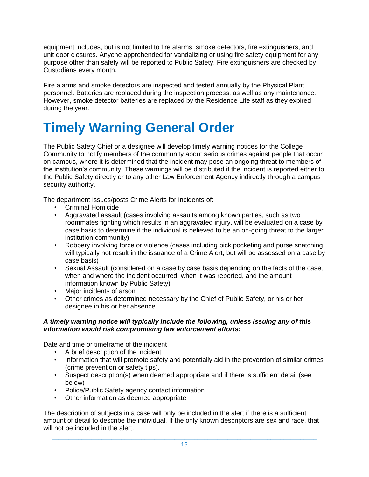equipment includes, but is not limited to fire alarms, smoke detectors, fire extinguishers, and unit door closures. Anyone apprehended for vandalizing or using fire safety equipment for any purpose other than safety will be reported to Public Safety. Fire extinguishers are checked by Custodians every month.

Fire alarms and smoke detectors are inspected and tested annually by the Physical Plant personnel. Batteries are replaced during the inspection process, as well as any maintenance. However, smoke detector batteries are replaced by the Residence Life staff as they expired during the year.

# **Timely Warning General Order**

The Public Safety Chief or a designee will develop timely warning notices for the College Community to notify members of the community about serious crimes against people that occur on campus, where it is determined that the incident may pose an ongoing threat to members of the institution's community. These warnings will be distributed if the incident is reported either to the Public Safety directly or to any other Law Enforcement Agency indirectly through a campus security authority.

The department issues/posts Crime Alerts for incidents of:

- Criminal Homicide
- Aggravated assault (cases involving assaults among known parties, such as two roommates fighting which results in an aggravated injury, will be evaluated on a case by case basis to determine if the individual is believed to be an on-going threat to the larger institution community)
- Robbery involving force or violence (cases including pick pocketing and purse snatching will typically not result in the issuance of a Crime Alert, but will be assessed on a case by case basis)
- Sexual Assault (considered on a case by case basis depending on the facts of the case, when and where the incident occurred, when it was reported, and the amount information known by Public Safety)
- Major incidents of arson
- Other crimes as determined necessary by the Chief of Public Safety, or his or her designee in his or her absence

### *A timely warning notice will typically include the following, unless issuing any of this information would risk compromising law enforcement efforts:*

Date and time or timeframe of the incident

- A brief description of the incident
- Information that will promote safety and potentially aid in the prevention of similar crimes (crime prevention or safety tips).
- Suspect description(s) when deemed appropriate and if there is sufficient detail (see below)
- Police/Public Safety agency contact information
- Other information as deemed appropriate

The description of subjects in a case will only be included in the alert if there is a sufficient amount of detail to describe the individual. If the only known descriptors are sex and race, that will not be included in the alert.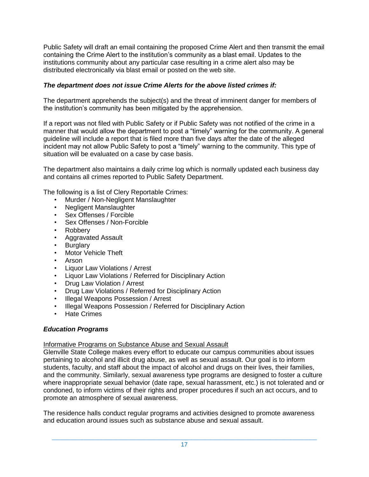Public Safety will draft an email containing the proposed Crime Alert and then transmit the email containing the Crime Alert to the institution's community as a blast email. Updates to the institutions community about any particular case resulting in a crime alert also may be distributed electronically via blast email or posted on the web site.

### *The department does not issue Crime Alerts for the above listed crimes if:*

The department apprehends the subject(s) and the threat of imminent danger for members of the institution's community has been mitigated by the apprehension.

If a report was not filed with Public Safety or if Public Safety was not notified of the crime in a manner that would allow the department to post a "timely" warning for the community. A general guideline will include a report that is filed more than five days after the date of the alleged incident may not allow Public Safety to post a "timely" warning to the community. This type of situation will be evaluated on a case by case basis.

The department also maintains a daily crime log which is normally updated each business day and contains all crimes reported to Public Safety Department.

The following is a list of Clery Reportable Crimes:

- Murder / Non-Negligent Manslaughter
- Negligent Manslaughter
- Sex Offenses / Forcible
- Sex Offenses / Non-Forcible
- Robbery
- Aggravated Assault
- **Burglary**
- Motor Vehicle Theft
- Arson
- Liquor Law Violations / Arrest
- Liquor Law Violations / Referred for Disciplinary Action
- Drug Law Violation / Arrest
- Drug Law Violations / Referred for Disciplinary Action
- Illegal Weapons Possession / Arrest
- Illegal Weapons Possession / Referred for Disciplinary Action
- **Hate Crimes**

### *Education Programs*

### Informative Programs on Substance Abuse and Sexual Assault

Glenville State College makes every effort to educate our campus communities about issues pertaining to alcohol and illicit drug abuse, as well as sexual assault. Our goal is to inform students, faculty, and staff about the impact of alcohol and drugs on their lives, their families, and the community. Similarly, sexual awareness type programs are designed to foster a culture where inappropriate sexual behavior (date rape, sexual harassment, etc.) is not tolerated and or condoned, to inform victims of their rights and proper procedures if such an act occurs, and to promote an atmosphere of sexual awareness.

The residence halls conduct regular programs and activities designed to promote awareness and education around issues such as substance abuse and sexual assault.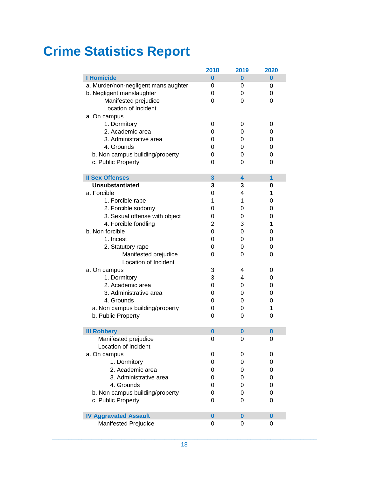# **Crime Statistics Report**

|                                      | 2018           | 2019     | 2020 |
|--------------------------------------|----------------|----------|------|
| <b>I Homicide</b>                    | 0              | 0        | 0    |
| a. Murder/non-negligent manslaughter | 0              | 0        | 0    |
| b. Negligent manslaughter            | 0              | 0        | 0    |
| Manifested prejudice                 | 0              | 0        | 0    |
| Location of Incident                 |                |          |      |
| a. On campus                         |                |          |      |
| 1. Dormitory                         | 0              | 0        | 0    |
| 2. Academic area                     | 0              | 0        | 0    |
| 3. Administrative area               | 0              | 0        | 0    |
| 4. Grounds                           | 0              | 0        | 0    |
| b. Non campus building/property      | 0              | 0        | 0    |
| c. Public Property                   | 0              | 0        | 0    |
|                                      |                |          |      |
| <b>Il Sex Offenses</b>               | 3              | 4        | 1    |
| <b>Unsubstantiated</b>               | 3              | 3        | 0    |
| a. Forcible                          | 0              | 4        | 1    |
| 1. Forcible rape                     | 1              | 1        | 0    |
| 2. Forcible sodomy                   | 0              | 0        | 0    |
| 3. Sexual offense with object        | 0              | 0        | 0    |
| 4. Forcible fondling                 | $\overline{2}$ | 3        | 1    |
| b. Non forcible                      | $\Omega$       | 0        | 0    |
| 1. Incest                            | 0              | 0        | 0    |
| 2. Statutory rape                    | 0              | 0        | 0    |
| Manifested prejudice                 | 0              | 0        | 0    |
| Location of Incident                 |                |          |      |
| a. On campus                         | 3              | 4        | 0    |
| 1. Dormitory                         | 3              | 4        | 0    |
| 2. Academic area                     | 0              | 0        | 0    |
| 3. Administrative area               | 0              | 0        | 0    |
| 4. Grounds                           | 0              | 0        | 0    |
| a. Non campus building/property      | 0              | 0        | 1    |
| b. Public Property                   | 0              | 0        | 0    |
|                                      |                |          |      |
| <b>III Robbery</b>                   | $\bf{0}$       | 0        | 0    |
| Manifested prejudice                 | 0              | 0        | 0    |
| Location of Incident                 |                |          |      |
| a. On campus                         | 0              | 0        | 0    |
| 1. Dormitory                         | 0              | 0        | 0    |
| 2. Academic area                     | 0              | 0        | 0    |
| 3. Administrative area               | 0              | 0        | 0    |
| 4. Grounds                           | 0              | 0        | 0    |
| b. Non campus building/property      | 0              | 0        | 0    |
| c. Public Property                   | 0              | 0        | 0    |
|                                      |                |          |      |
| <b>IV Aggravated Assault</b>         | $\bf{0}$       | $\bf{0}$ | 0    |
| <b>Manifested Prejudice</b>          | 0              | 0        | 0    |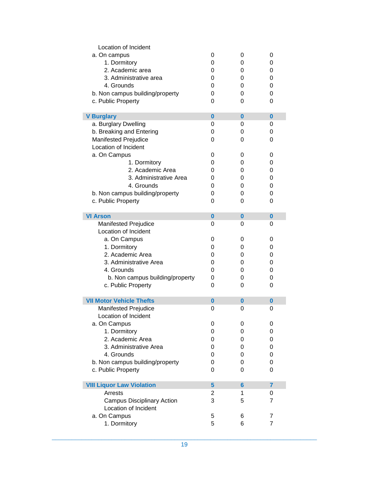| Location of Incident              |          |                |                |
|-----------------------------------|----------|----------------|----------------|
| a. On campus                      | 0        | 0              | 0              |
| 1. Dormitory                      | 0        | 0              | 0              |
| 2. Academic area                  | 0        | 0              | 0              |
| 3. Administrative area            | 0        | 0              | 0              |
| 4. Grounds                        | 0        | 0              | 0              |
| b. Non campus building/property   | 0        | 0              | 0              |
| c. Public Property                | 0        | 0              | 0              |
|                                   |          |                |                |
| <b>V Burglary</b>                 | $\bf{0}$ | $\bf{0}$       | $\bf{0}$       |
| a. Burglary Dwelling              | 0        | 0              | 0              |
| b. Breaking and Entering          | 0        | 0              | 0              |
| <b>Manifested Prejudice</b>       | 0        | 0              | 0              |
| Location of Incident              |          |                |                |
| a. On Campus                      | 0        | 0              | 0              |
| 1. Dormitory                      | 0        | 0              | 0              |
| 2. Academic Area                  | 0        | 0              | 0              |
| 3. Administrative Area            | 0        | 0              | 0              |
| 4. Grounds                        | 0        | 0              | 0              |
| b. Non campus building/property   | 0        | 0              | 0              |
| c. Public Property                | 0        | 0              | 0              |
|                                   |          |                |                |
| <b>VI Arson</b>                   | $\bf{0}$ | $\bf{0}$       | $\bf{0}$       |
| <b>Manifested Prejudice</b>       | 0        | 0              | 0              |
| Location of Incident              |          |                |                |
| a. On Campus                      | 0        | 0              | 0              |
| 1. Dormitory                      | 0        | 0              | 0              |
| 2. Academic Area                  | 0        | 0              | 0              |
| 3. Administrative Area            | 0        | 0              | 0              |
| 4. Grounds                        | 0        | 0              | 0              |
| b. Non campus building/property   | 0        | 0              | 0              |
| c. Public Property                | 0        | 0              | 0              |
|                                   |          |                |                |
| <b>VII Motor Vehicle Thefts</b>   | $\bf{0}$ | 0              | 0              |
| <b>Manifested Prejudice</b>       | 0        | 0              | 0              |
| Location of Incident              |          |                |                |
| a. On Campus                      | 0        | 0              | 0              |
| 1. Dormitory                      | 0        | 0              | 0              |
| 2. Academic Area                  | 0        | 0              | 0              |
| 3. Administrative Area            | 0        | 0              | 0              |
| 4. Grounds                        | 0        | 0              | 0              |
| b. Non campus building/property   | 0        | 0              | 0              |
| c. Public Property                | 0        | 0              | 0              |
|                                   |          |                |                |
| <b>VIII Liquor Law Violation</b>  | 5        | $6\phantom{1}$ | $\overline{7}$ |
| Arrests                           | 2        | 1              | 0              |
| <b>Campus Disciplinary Action</b> | 3        | 5              | $\overline{7}$ |
| Location of Incident              |          |                |                |
| a. On Campus                      | 5        | 6              | 7              |
| 1. Dormitory                      | 5        | 6              | $\overline{7}$ |
|                                   |          |                |                |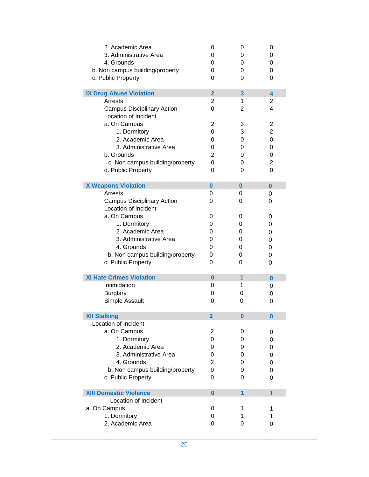| 2. Academic Area                  | 0              | 0                       | 0              |
|-----------------------------------|----------------|-------------------------|----------------|
| 3. Administrative Area            | 0              | 0                       | 0              |
| 4. Grounds                        | 0              | 0                       | 0              |
| b. Non campus building/property   | 0              | 0                       | 0              |
| c. Public Property                | 0              | 0                       | 0              |
|                                   |                |                         |                |
| <b>IX Drug Abuse Violation</b>    | $\overline{2}$ | 3                       | 4              |
| Arrests                           | 2              | 1                       | 2              |
| <b>Campus Disciplinary Action</b> | 0              | 2                       | 4              |
| Location of Incident              |                |                         |                |
| a. On Campus                      | 2              | 3                       | $\overline{2}$ |
| 1. Dormitory                      | 0              | 3                       | $\overline{c}$ |
| 2. Academic Area                  | 0              | 0                       | 0              |
| 3. Administrative Area            | 0              | 0                       | 0              |
| b. Grounds                        | 2              | 0                       | 0              |
| c. Non campus building/property   | 0              | 0                       | $\overline{c}$ |
| d. Public Property                | 0              | 0                       | 0              |
|                                   |                |                         |                |
| <b>X Weapons Violation</b>        | $\bf{0}$       | 0                       | $\bf{0}$       |
| Arrests                           | 0              | 0                       | 0              |
| <b>Campus Disciplinary Action</b> | 0              | 0                       | 0              |
| Location of Incident              |                |                         |                |
| a. On Campus                      | 0              | 0                       | 0              |
| 1. Dormitory                      | 0              | 0                       | 0              |
| 2. Academic Area                  | 0              | 0                       | 0              |
| 3. Administrative Area            | 0              | 0                       | 0              |
| 4. Grounds                        | 0              | 0                       |                |
|                                   |                |                         | 0              |
| b. Non campus building/property   | 0              | 0                       | 0              |
| c. Public Property                | 0              | 0                       | 0              |
| <b>XI Hate Crimes Violation</b>   | $\bf{0}$       | 1                       | 0              |
| Intimidation                      | 0              | 1                       | 0              |
| <b>Burglary</b>                   | 0              | 0                       | 0              |
| Simple Assault                    | 0              | 0                       |                |
|                                   |                |                         | 0              |
| <b>XII Stalking</b>               | $\mathbf 2$    | 0                       | 0              |
| Location of Incident              |                |                         |                |
| a. On Campus                      | $\overline{2}$ | 0                       | 0              |
| 1. Dormitory                      | 0              | 0                       | 0              |
| 2. Academic Area                  | 0              | 0                       | 0              |
| 3. Administrative Area            | 0              | 0                       | 0              |
| 4. Grounds                        | 2              | 0                       |                |
|                                   | 0              | 0                       | 0              |
| b. Non campus building/property   |                |                         | 0              |
| c. Public Property                | 0              | 0                       | 0              |
| <b>XIII Domestic Violence</b>     | $\bf{0}$       | $\overline{\mathbf{1}}$ | 1              |
| Location of Incident              |                |                         |                |
| a. On Campus                      | 0              | 1                       | 1              |
| 1. Dormitory                      | 0              | 1                       | 1              |
| 2. Academic Area                  | 0              | 0                       | 0              |
|                                   |                |                         |                |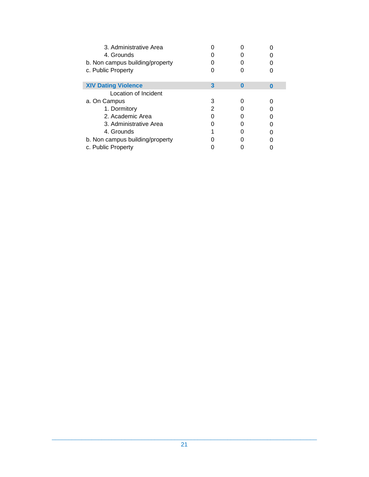| 3. Administrative Area<br>4. Grounds<br>b. Non campus building/property<br>c. Public Property |   |   |   |
|-----------------------------------------------------------------------------------------------|---|---|---|
| <b>XIV Dating Violence</b>                                                                    | 3 | O | n |
| Location of Incident                                                                          |   |   |   |
| a. On Campus                                                                                  |   |   |   |
| 1. Dormitory                                                                                  |   |   |   |
| 2. Academic Area                                                                              |   |   |   |
| 3. Administrative Area                                                                        |   |   |   |
| 4. Grounds                                                                                    |   |   |   |
| b. Non campus building/property                                                               |   |   |   |
| c. Public Property                                                                            |   |   |   |